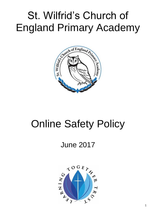# St. Wilfrid's Church of England Primary Academy



# Online Safety Policy

## June 2017

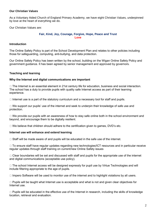#### **Our Christian Values**

As a Voluntary Aided Church of England Primary Academy, we have eight Christian Values, underpinned by love at the heart of everything we do.

Our Christian Values are:

#### **Fair, Kind, Joy, Courage, Forgive, Hope, Peace and Trust Love**

#### **Introduction**

The Online Safety Policy is part of the School Development Plan and relates to other policies including those for safeguarding, computing, anti-bullying, and data protection.

Our Online Safety Policy has been written by the school, building on the Wigan Online Safety Policy and government guidance. It has been agreed by senior management and approved by governors.

#### **Teaching and learning**

#### **Why the Internet and digital communications are important**

 $\Box$  The Internet is an essential element in 21st century life for education, business and social interaction. The school has a duty to provide pupils with quality safe Internet access as part of their learning experience.

 $\Box$  Internet use is a part of the statutory curriculum and a necessary tool for staff and pupils.

 $\Box$  We support our pupils' use of the internet and seek to underpin their knowledge of safe use and protection.

 $\Box$  We provide our pupils with an awareness of how to stay safe online both in the school environment and beyond, and encourage them to be digitally resilient.

 $\Box$  We believe that children should adhere to the certification given to games, DVD's etc.

#### **Internet use will enhance and extend learning**

 $\Box$  Staff will be made aware of and pupils will be educated in the safe use of the internet.

 $\Box$  To ensure staff have regular updates regarding new technologies/ICT resources and in particular receive regular updates through staff training on current/new Online Safety issues

 $\Box$  Clear boundaries will be set and discussed with staff and pupils for the appropriate use of the internet and digital communications (acceptable use policy).

 $\Box$  The school Internet access will be designed expressly for pupil use by Virtue Technologies and will include filtering appropriate to the age of pupils.

 $\Box$  Impero Software will be used to monitor use of the internet and to highlight violations by all users.

 $\Box$  Pupils will be taught what Internet use is acceptable and what is not and given clear objectives for Internet use.

 $\Box$  Pupils will be educated in the effective use of the Internet in research, including the skills of knowledge location, retrieval and evaluation.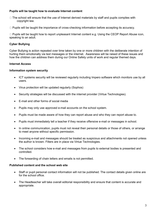#### **Pupils will be taught how to evaluate Internet content**

- $\Box$  The school will ensure that the use of Internet derived materials by staff and pupils complies with copyright law.
- $\Box$  Pupils will be taught the importance of cross-checking information before accepting its accuracy.

 $\Box$  Pupils will be taught how to report unpleasant Internet content e.g. Using the CEOP Report Abuse icon, speaking to an adult.

#### **Cyber Bullying**

Cyber Bullying is action repeated over time taken by one or more children with the deliberate intention of hurting them emotionally via text messages or the internet. Awareness will be raised of these issues and how the children can address them during our Online Safety units of work and regular themed days.

#### **Internet Access**

#### **Information system security**

- ICT systems security will be reviewed regularly including Impero software which monitors use by all users.
- Virus protection will be updated regularly (Sophos)
- Security strategies will be discussed with the internet provider (Virtue Technologies).
- E-mail and other forms of social media
- Pupils may only use approved e-mail accounts on the school system.
- Pupils must be made aware of how they can report abuse and who they can report abuse to.
- Pupils must immediately tell a teacher if they receive offensive e-mail or messages in school.
- In online communication, pupils must not reveal their personal details or those of others, or arrange to meet anyone without specific permission.
- Incoming e-mail and messages should be treated as suspicious and attachments not opened unless the author is known. Filters are in place via Virtue Technologies.
- The school considers how e-mail and messages from pupils to external bodies is presented and controlled.
- The forwarding of chain letters and emails is not permitted.

#### **Published content and the school web site**

- Staff or pupil personal contact information will not be published. The contact details given online are for the school office.
- The Headteacher will take overall editorial responsibility and ensure that content is accurate and appropriate.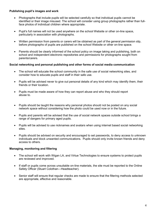#### **Publishing pupil's images and work**

- Photographs that include pupils will be selected carefully so that individual pupils cannot be identified or their image misused. The school will consider using group photographs rather than fullface photos of individual children where appropriate.
- Pupil's full names will not be used anywhere on the school Website or other on-line space, particularly in association with photographs.
- Written permission from parents or carers will be obtained as part of the general permission slip, before photographs of pupils are published on the school Website or other on-line space.
- Parents should be clearly informed of the school policy on image taking and publishing, both on school and independent electronic repositories and permissions for photographs sought from parents/carers.

#### **Social networking and personal publishing and other forms of social media communication**

- The school will educate the school community in the safe use of social networking sites, and consider how to educate pupils and staff in their safe use.
- Pupils will be advised never to give out personal details of any kind which may identify them, their friends or their location.
- Pupils must be made aware of how they can report abuse and who they should report abuse to.
- Pupils should be taught the reasons why personal photos should not be posted on any social network space without considering how the photo could be used now or in the future.
- Pupils and parents will be advised that the use of social network spaces outside school brings a range of dangers for primary aged pupils.
- Pupils will be advised to use nicknames and avatars when using internet based social networking sites.
- Pupils should be advised on security and encouraged to set passwords, to deny access to unknown individuals and block unwanted communications. Pupils should only invite known friends and deny access to others.

#### **Managing, monitoring and filtering**

- The school will work with Wigan LA, and Virtue Technologies to ensure systems to protect pupils are reviewed and improved.
- If staff or pupils come across unsuitable on-line materials, the site must be reported to the Online Safety Officer (Stuart Colothan—Headteacher).
- Senior staff will ensure that regular checks are made to ensure that the filtering methods selected are appropriate, effective and reasonable.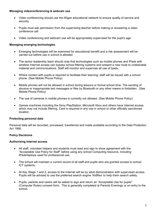#### **Managing videoconferencing & webcam use**

- Video conferencing should use the Wigan educational network to ensure quality of service and security.
- Pupils must ask permission from the supervising teacher before making or answering a video conference call.
- Video conferencing and webcam use will be appropriately supervised for the pupil's age.

#### **Managing emerging technologies**

- Emerging technologies will be examined for educational benefit and a risk assessment will be carried out before use in school is allowed.
- The senior leadership team should note that technologies such as mobile phones and IPads with wireless Internet access can bypass school filtering systems and present a new route to undesirable material and communications. Staff will monitor and supervise all use of Ipads.
- Where contact with pupils is required to facilitate their learning, staff will be issued with a school phone. (See Mobile Phone Policy)
- Mobile phones will not be allowed in school during lessons or formal school time. The sending of abusive or inappropriate text messages or files by Bluetooth or any other means is forbidden. (See Mobile Phone Policy)
- The use of cameras in mobile phones is currently not allowed. (See Mobile Phone Policy)
- Games machines including the Sony PlayStation, Microsoft Xbox and others have Internet access which may not include filtering. Care is required in any use in school or other officially sanctioned location.

#### **Protecting personal data**

Personal data will be recorded, processed, transferred and made available according to the Data Protection Act 1998.

#### **Policy Decisions**

#### **Authorising Internet access**

- All staff, volunteer helpers and students must read and sign to show agreement with the "Acceptable Use Policy for Staff" before using any school Computing resource, including IPads/laptops used for professional use.
- The school will maintain a current record of all staff and pupils who are granted access to school ICT systems.
- At Key Stage 1 and 2, access to the Internet will be by adult demonstration with supervised access. Pupils will be advised to use the preferred search engine 'KidRex' to help them search safely.
- Pupils, parents and carers will be asked to sign and return an "Acceptable Use for pupils" (Computer Rules) consent form. This is generally completed at Parents Evenings or on entry to the school.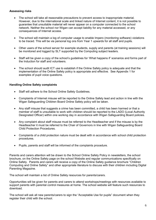#### **Assessing risks**

- The school will take all reasonable precautions to prevent access to inappropriate material. However, due to the international scale and linked nature of Internet content, it is not possible to guarantee that unsuitable material will never appear on a computer connected to the school network. Neither the school nor Wigan can accept liability for any material accessed, or any consequences of Internet access.
- The school will maintain a log of computer usage to enable Impero (monitoring software) violations to be traced. This will be via personal log ons from Year 1 upwards for all staff and pupils.
- Other users of the school server for example students, supply and parents (at training sessions) will be monitored and logged by SLT supported by the Computing subject leaders.
- Staff will be given a copy of the school's guidelines for 'What happens if' scenarios and forms part of the Induction for staff and volunteers.
- The school should audit ICT use to establish if the Online Safety policy is adequate and that the implementation of the Online Safety policy is appropriate and effective. See Appendix 1 for examples of pupil voice questions.

#### **Handling Online Safety complaints**

- Staff will adhere to the School Online Safety Guidelines.
- Complaints of Internet misuse will be reported to the Online Safety lead and action in line with the Wigan Safeguarding Children Board Online Safety policy will be taken.
- Any staff misuse that suggests a crime has been committed, a child has been harmed or that a member of staff is unsuitable to work with children should be reported to the LADO (Local Authority Designated Officer) within one working day in accordance with Wigan Safeguarding Board policies.
- Any complaint about staff misuse must be referred to the Headteacher and if the misuse is by the Headteacher it must be referred to the Chair of Governors in line with Wigan Safeguarding Board Child Protection Procedures.
- Complaints of a child protection nature must be dealt with in accordance with school child protection procedures.
- Pupils, parents and staff will be informed of the complaints procedure.

Parents and carers attention will be drawn to the School Online Safety Policy in newsletters, the school brochure, on the Online Safety page on the school Website and regular communications specifically on Online Safety. Parents and carers will receive a copy of the Online Safety guidance brochure "Children Computing and Online Safety" and other appropriate literature to discuss with their children including Digital Parenting Magazine.

The school will maintain a list of Online Safety resources for parents/carers.

Opportunities will be given for parents and carers to attend workshops/meetings with resources available to support parents with parental control measures at home. The school website will feature such resources to download.

The school will ask all new parents/carers to sign the "Acceptable Use for pupils" document when they register their child with the school.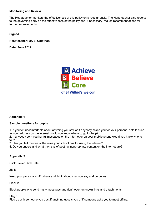#### **Monitoring and Review**

The Headteacher monitors the effectiveness of this policy on a regular basis. The Headteacher also reports to the governing body on the effectiveness of the policy and, if necessary, makes recommendations for further improvements.

**Signed:** 

**Headteacher: Mr. S. Colothan**

**Date: June 2017**



#### **Appendix 1**

#### **Sample questions for pupils**

1. If you felt uncomfortable about anything you saw or if anybody asked you for your personal details such as your address on the internet would you know where to go for help?

2. If anybody sent you hurtful messages on the internet or on your mobile phone would you know who to tell?

3. Can you tell me one of the rules your school has for using the internet?

4. Do you understand what the risks of posting inappropriate content on the internet are?

#### **Appendix 2**

Click Clever Click Safe

Zip it

Keep your personal stuff private and think about what you say and do online

Block it

Block people who send nasty messages and don't open unknown links and attachments

Flag it

Flag up with someone you trust if anything upsets you of if someone asks you to meet offline.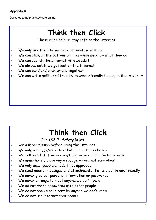### **Appendix 3**

Our rules to help us stay safe online.

# Think then Click

These rules help us stay safe on the Internet

- We only use the internet when an adult is with us
- We can click on the buttons or links when we know what they do
- We can search the Internet with an adult
- We always ask if we get lost on the Internet
- We can send and open emails together
- We can write polite and friendly messages/emails to people that we know

## Think then Click

Our KS2 E-Safety Rules

- We ask permission before using the Internet
- We only use apps/websites that an adult has chosen
- We tell an adult if we see anything we are uncomfortable with
- We immediately close any webpage we are not sure about
- We only email people an adult has approved
- We send emails, messages and attachments that are polite and friendly
- We never give out personal information or passwords
- We never arrange to meet anyone we don't know s.
- We do not share passwords with other people s)
- We do not open emails sent by anyone we don't know
- We do not use internet chat rooms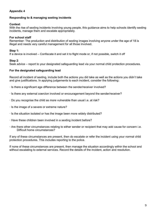#### **Appendix 4**

#### **Responding to & managing sexting incidents**

#### **Context**

With the rise of sexting incidents involving young people, this guidance aims to help schools identify sexting incidents, manage them and escalate appropriately.

#### **For school staff**

Remember: The production and distribution of sexting images involving anyone under the age of 18 is illegal and needs very careful management for all those involved.

#### **Step 1:**

If a device is involved – Confiscate it and set it to flight mode or, if not possible, switch it off

#### **Step 2**:

Seek advice – report to your designated safeguarding lead via your normal child protection procedures.

#### **For the designated safeguarding lead**

Record all incident of sexting, include both the actions you did take as well as the actions you didn't take and give justifications. In applying judgements to each incident, consider the following:

- · Is there a significant age difference between the sender/receiver involved?
- · Is there any external coercion involved or encouragement beyond the sender/receiver?
- · Do you recognise the child as more vulnerable than usual i.e. at risk?
- · Is the image of a severe or extreme nature?
- · Is the situation isolated or has the image been more widely distributed?
- · Have these children been involved in a sexting incident before?
- · Are there other circumstances relating to either sender or recipient that may add cause for concern i.e. Difficult home circumstances?

If any of these circumstances are present, then do escalate or refer the incident using your normal child protection procedures. This includes reporting to the police.

If none of these circumstances are present, then manage the situation accordingly within the school and without escalating to external services. Record the details of the incident, action and resolution.